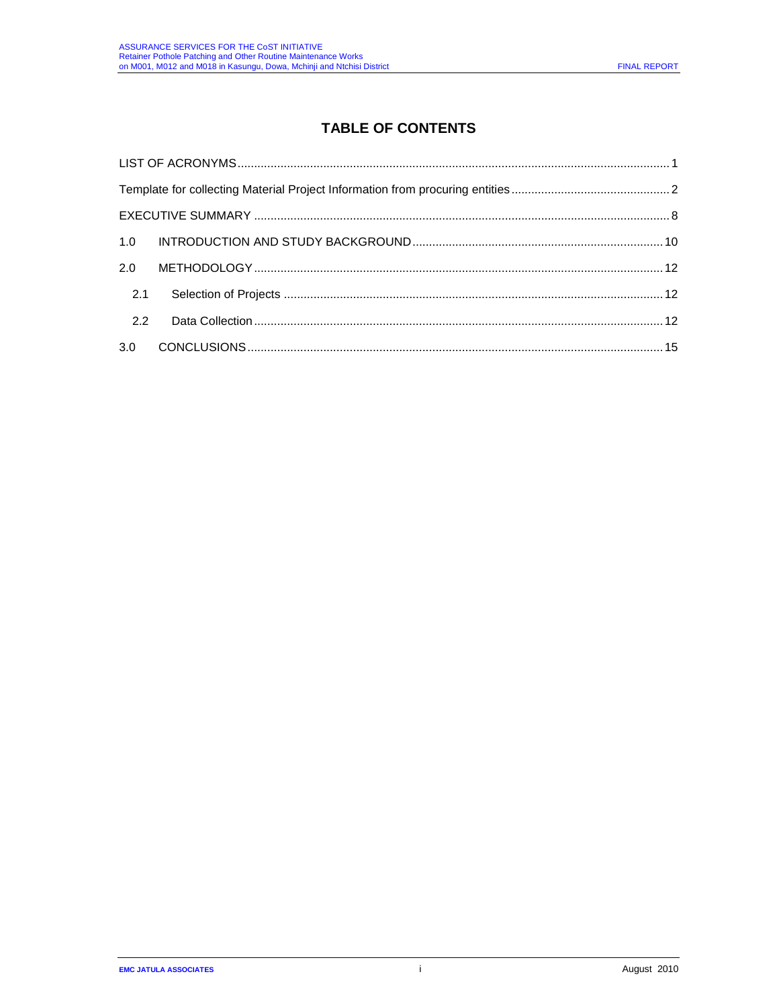# **TABLE OF CONTENTS**

| 2.0 |  |
|-----|--|
| 2.1 |  |
| 2.2 |  |
| 3.0 |  |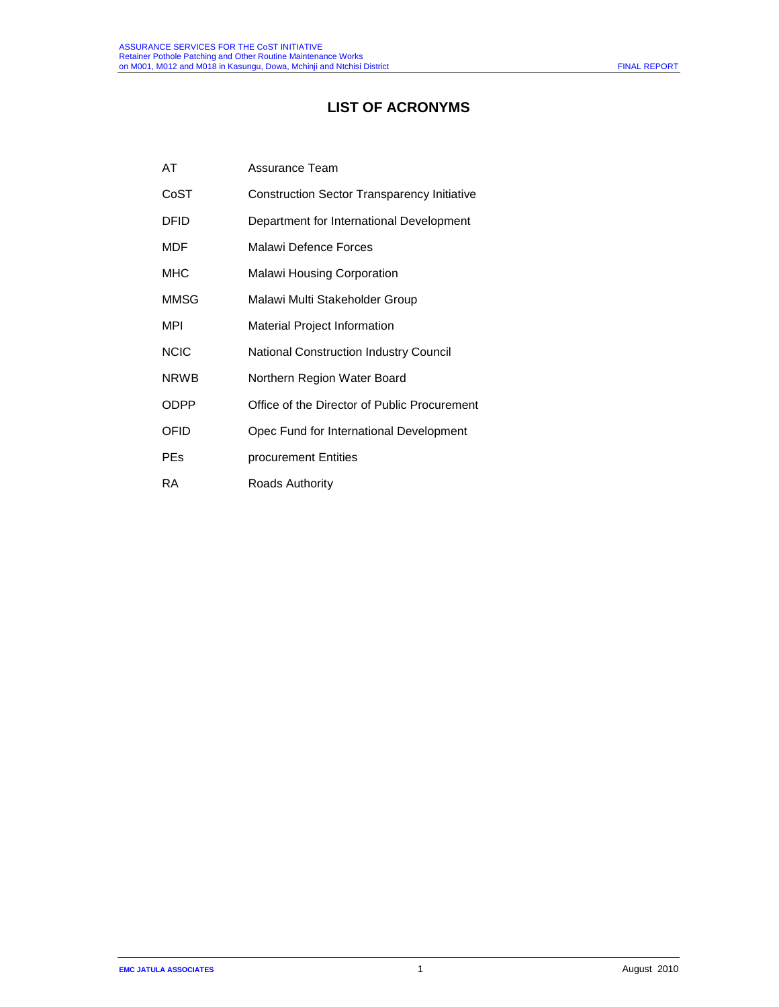# **LIST OF ACRONYMS**

| AT          | Assurance Team                                |  |  |
|-------------|-----------------------------------------------|--|--|
| CoST        | Construction Sector Transparency Initiative   |  |  |
| DFID        | Department for International Development      |  |  |
| MDF         | Malawi Defence Forces                         |  |  |
| MHC         | <b>Malawi Housing Corporation</b>             |  |  |
| MMSG        | Malawi Multi Stakeholder Group                |  |  |
| MPI         | <b>Material Project Information</b>           |  |  |
| <b>NCIC</b> | <b>National Construction Industry Council</b> |  |  |
| <b>NRWB</b> | Northern Region Water Board                   |  |  |
| ODPP        | Office of the Director of Public Procurement  |  |  |
| OFID        | Opec Fund for International Development       |  |  |
| PEs         | procurement Entities                          |  |  |
| RA.         | Roads Authority                               |  |  |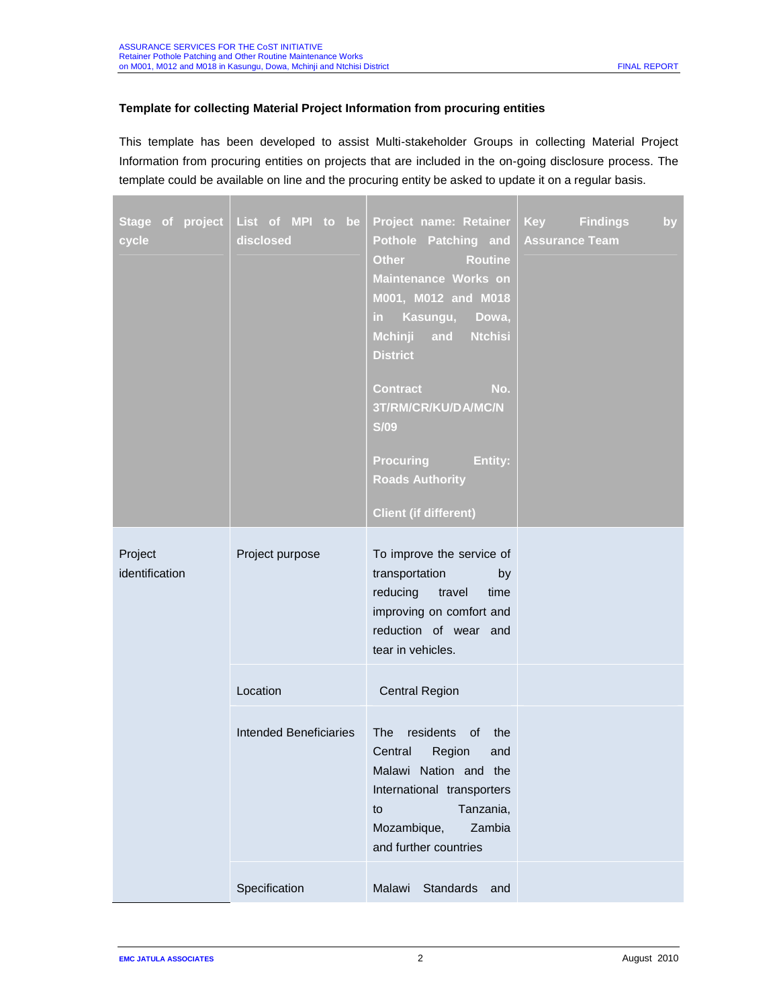# **Template for collecting Material Project Information from procuring entities**

This template has been developed to assist Multi-stakeholder Groups in collecting Material Project Information from procuring entities on projects that are included in the on-going disclosure process. The template could be available on line and the procuring entity be asked to update it on a regular basis.

| Stage of project<br>cycle | List of MPI to be<br>disclosed | Project name: Retainer<br>Pothole Patching and<br><b>Other</b><br><b>Routine</b><br>Maintenance Works on<br>M001, M012 and M018<br>Kasungu,<br>Dowa,<br>in.<br>Mchinji and<br><b>Ntchisi</b><br><b>District</b><br><b>Contract</b><br>No.<br>3T/RM/CR/KU/DA/MC/N<br><b>S/09</b><br><b>Procuring</b><br>Entity:<br><b>Roads Authority</b><br><b>Client (if different)</b> | <b>Key</b> Findings<br>by<br><b>Assurance Team</b> |
|---------------------------|--------------------------------|--------------------------------------------------------------------------------------------------------------------------------------------------------------------------------------------------------------------------------------------------------------------------------------------------------------------------------------------------------------------------|----------------------------------------------------|
| Project<br>identification | Project purpose                | To improve the service of<br>transportation<br>by<br>reducing<br>travel<br>time<br>improving on comfort and<br>reduction of wear and<br>tear in vehicles.                                                                                                                                                                                                                |                                                    |
|                           | Location                       | <b>Central Region</b>                                                                                                                                                                                                                                                                                                                                                    |                                                    |
|                           | <b>Intended Beneficiaries</b>  | <b>The</b><br>residents<br>of<br>the<br>Region<br>Central<br>and<br>Malawi Nation and the<br>International transporters<br>Tanzania,<br>to<br>Mozambique,<br>Zambia<br>and further countries                                                                                                                                                                             |                                                    |
|                           | Specification                  | Standards<br>Malawi<br>and                                                                                                                                                                                                                                                                                                                                               |                                                    |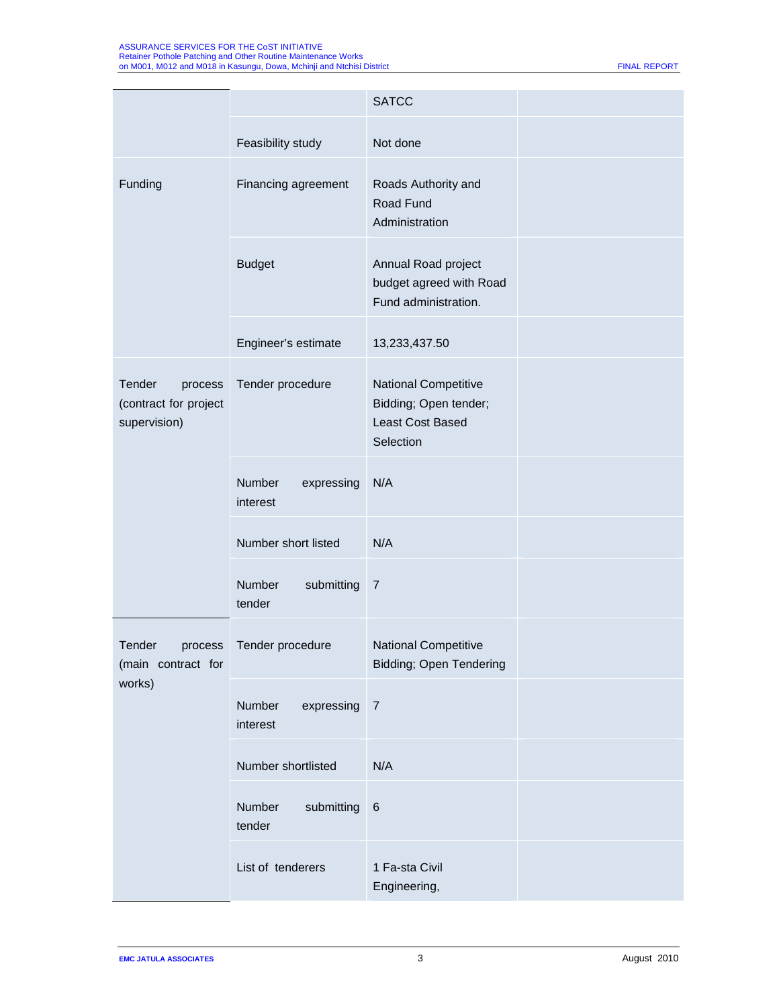|                                                            |                                  | <b>SATCC</b>                                                                          |  |
|------------------------------------------------------------|----------------------------------|---------------------------------------------------------------------------------------|--|
|                                                            | Feasibility study                | Not done                                                                              |  |
| Funding                                                    | Financing agreement              | Roads Authority and<br>Road Fund<br>Administration                                    |  |
|                                                            | <b>Budget</b>                    | Annual Road project<br>budget agreed with Road<br>Fund administration.                |  |
|                                                            | Engineer's estimate              | 13,233,437.50                                                                         |  |
| Tender<br>process<br>(contract for project<br>supervision) | Tender procedure                 | <b>National Competitive</b><br>Bidding; Open tender;<br>Least Cost Based<br>Selection |  |
|                                                            | Number<br>expressing<br>interest | N/A                                                                                   |  |
|                                                            | Number short listed              | N/A                                                                                   |  |
|                                                            | Number<br>submitting<br>tender   | $\overline{7}$                                                                        |  |
| Tender<br>process<br>(main contract for                    | Tender procedure                 | <b>National Competitive</b><br>Bidding; Open Tendering                                |  |
| works)                                                     | Number<br>expressing<br>interest | $\overline{7}$                                                                        |  |
|                                                            | Number shortlisted               | N/A                                                                                   |  |
|                                                            | Number<br>submitting<br>tender   | $\,6$                                                                                 |  |
|                                                            | List of tenderers                | 1 Fa-sta Civil<br>Engineering,                                                        |  |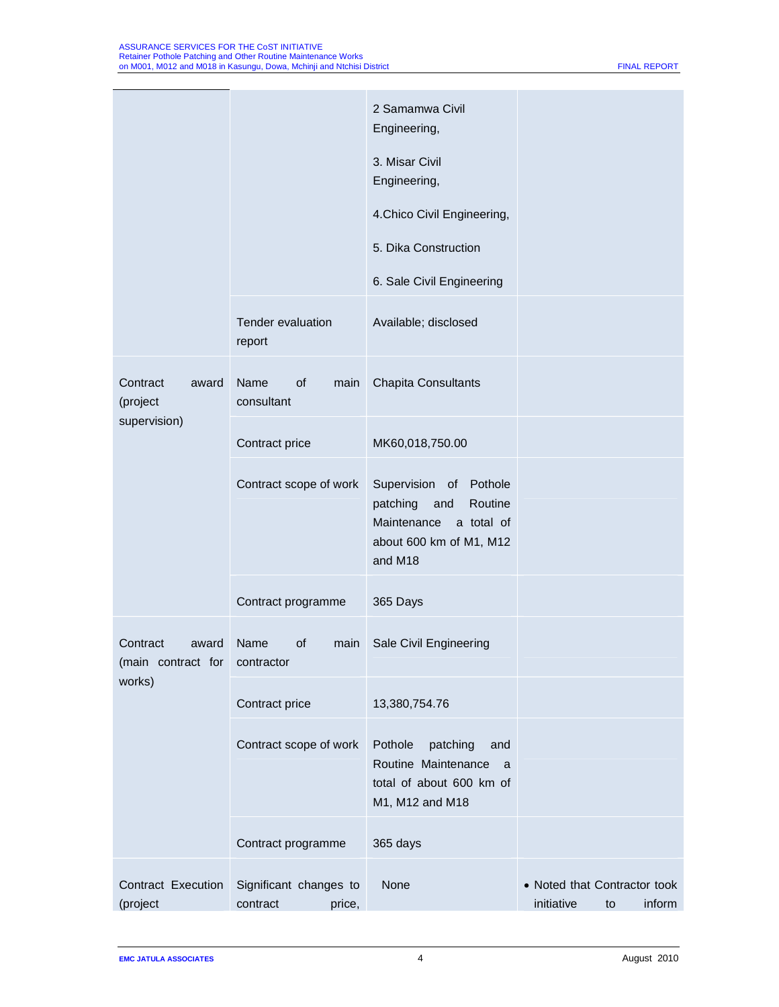|                                               |                                              | 2 Samamwa Civil<br>Engineering,<br>3. Misar Civil<br>Engineering,<br>4. Chico Civil Engineering,<br>5. Dika Construction<br>6. Sale Civil Engineering |                                                            |
|-----------------------------------------------|----------------------------------------------|-------------------------------------------------------------------------------------------------------------------------------------------------------|------------------------------------------------------------|
|                                               | Tender evaluation<br>report                  | Available; disclosed                                                                                                                                  |                                                            |
| Contract<br>award<br>(project<br>supervision) | Name<br>of<br>main<br>consultant             | <b>Chapita Consultants</b>                                                                                                                            |                                                            |
|                                               | Contract price                               | MK60,018,750.00                                                                                                                                       |                                                            |
|                                               | Contract scope of work                       | Supervision of Pothole<br>patching<br>Routine<br>and<br>Maintenance<br>a total of<br>about 600 km of M1, M12<br>and M18                               |                                                            |
|                                               | Contract programme                           | 365 Days                                                                                                                                              |                                                            |
| Contract<br>award<br>(main contract for       | of<br>Name<br>main<br>contractor             | Sale Civil Engineering                                                                                                                                |                                                            |
| works)                                        | Contract price                               | 13,380,754.76                                                                                                                                         |                                                            |
|                                               | Contract scope of work                       | Pothole<br>patching<br>and<br>Routine Maintenance<br>a<br>total of about 600 km of<br>M1, M12 and M18                                                 |                                                            |
|                                               | Contract programme                           | 365 days                                                                                                                                              |                                                            |
| Contract Execution<br>(project                | Significant changes to<br>contract<br>price, | None                                                                                                                                                  | • Noted that Contractor took<br>initiative<br>inform<br>to |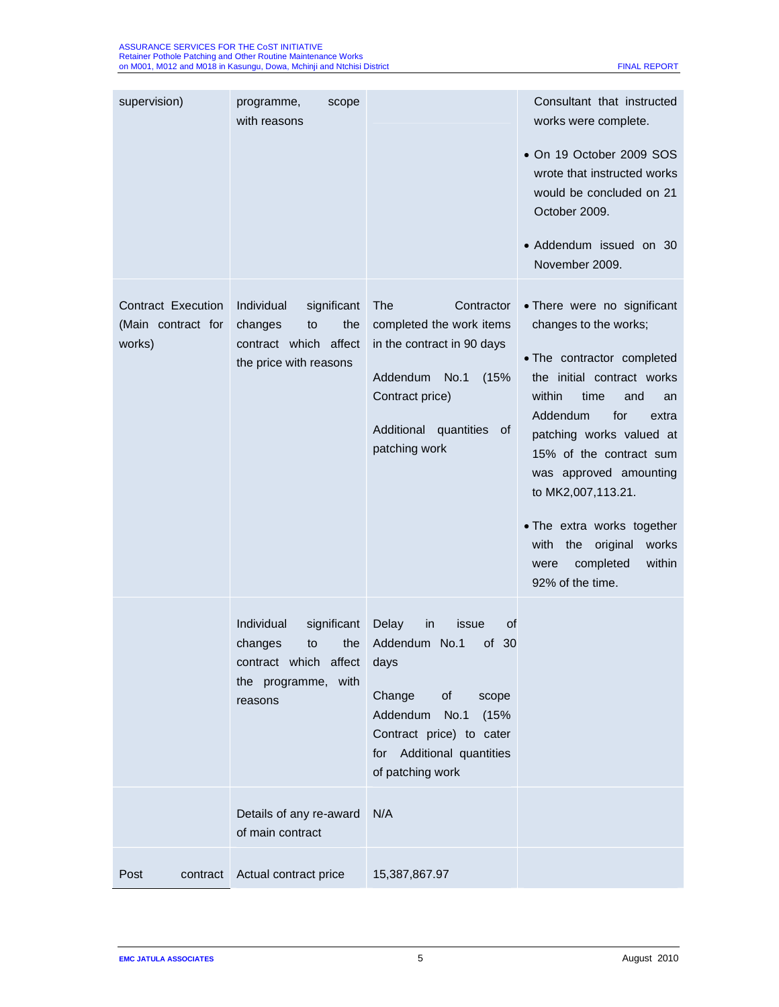| supervision)                                              | programme,<br>scope<br>with reasons                                                                          |                                                                                                                                                                                                     | Consultant that instructed<br>works were complete.<br>• On 19 October 2009 SOS<br>wrote that instructed works<br>would be concluded on 21<br>October 2009.<br>• Addendum issued on 30<br>November 2009.                                                                                                                                                                                                 |
|-----------------------------------------------------------|--------------------------------------------------------------------------------------------------------------|-----------------------------------------------------------------------------------------------------------------------------------------------------------------------------------------------------|---------------------------------------------------------------------------------------------------------------------------------------------------------------------------------------------------------------------------------------------------------------------------------------------------------------------------------------------------------------------------------------------------------|
| <b>Contract Execution</b><br>(Main contract for<br>works) | Individual<br>significant<br>the<br>changes<br>to<br>contract which affect<br>the price with reasons         | The<br>Contractor<br>completed the work items<br>in the contract in 90 days<br>Addendum<br>No.1<br>(15%<br>Contract price)<br>Additional<br>quantities<br>0f<br>patching work                       | • There were no significant<br>changes to the works;<br>• The contractor completed<br>the initial contract works<br>within<br>time<br>and<br>an<br>Addendum<br>for<br>extra<br>patching works valued at<br>15% of the contract sum<br>was approved amounting<br>to MK2,007,113.21.<br>• The extra works together<br>with<br>the<br>original<br>works<br>within<br>completed<br>were<br>92% of the time. |
|                                                           | significant<br>Individual<br>the<br>changes<br>to<br>contract which affect<br>the programme, with<br>reasons | Delay<br>of<br>in<br>issue<br>Addendum No.1<br>of $30$<br>days<br>Change<br>of<br>scope<br>Addendum<br>No.1<br>(15%<br>Contract price) to cater<br>Additional quantities<br>for<br>of patching work |                                                                                                                                                                                                                                                                                                                                                                                                         |
|                                                           | Details of any re-award<br>of main contract                                                                  | N/A                                                                                                                                                                                                 |                                                                                                                                                                                                                                                                                                                                                                                                         |
| Post<br>contract                                          | Actual contract price                                                                                        | 15,387,867.97                                                                                                                                                                                       |                                                                                                                                                                                                                                                                                                                                                                                                         |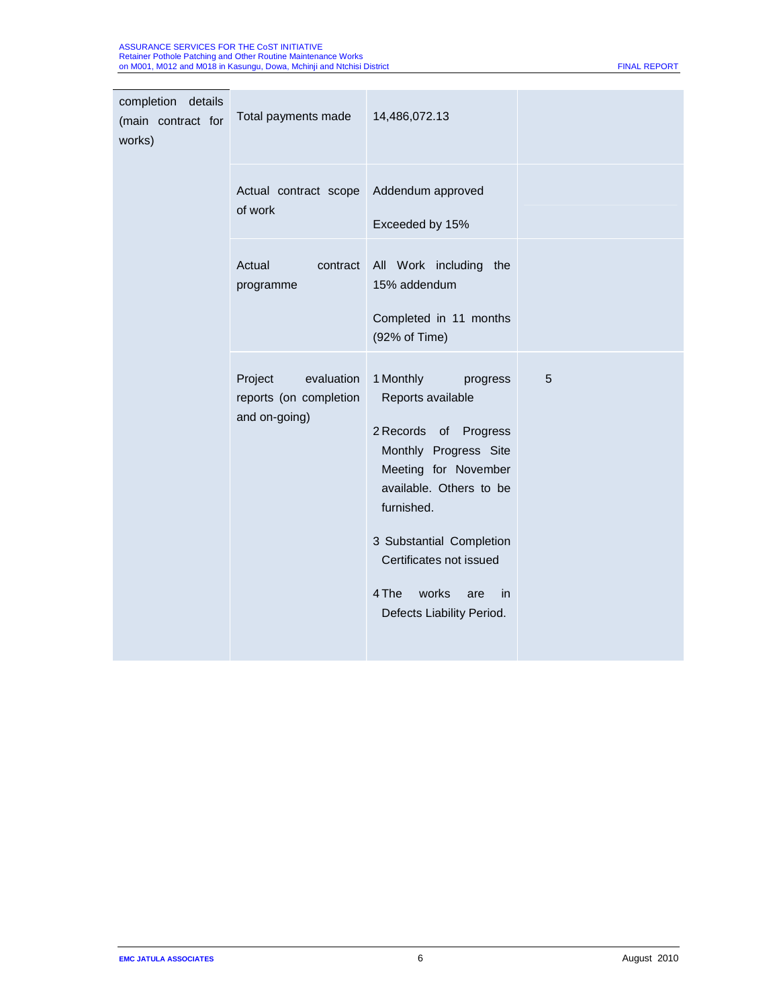| completion details<br>(main contract for<br>works) | Total payments made                                              | 14,486,072.13                                                                                                                                                                                                                                                                    |   |
|----------------------------------------------------|------------------------------------------------------------------|----------------------------------------------------------------------------------------------------------------------------------------------------------------------------------------------------------------------------------------------------------------------------------|---|
|                                                    | Actual contract scope<br>of work                                 | Addendum approved<br>Exceeded by 15%                                                                                                                                                                                                                                             |   |
|                                                    | Actual<br>contract<br>programme                                  | All Work including the<br>15% addendum<br>Completed in 11 months<br>(92% of Time)                                                                                                                                                                                                |   |
|                                                    | evaluation<br>Project<br>reports (on completion<br>and on-going) | 1 Monthly<br>progress<br>Reports available<br>2 Records of Progress<br>Monthly Progress Site<br>Meeting for November<br>available. Others to be<br>furnished.<br>3 Substantial Completion<br>Certificates not issued<br>4 The<br>works<br>in<br>are<br>Defects Liability Period. | 5 |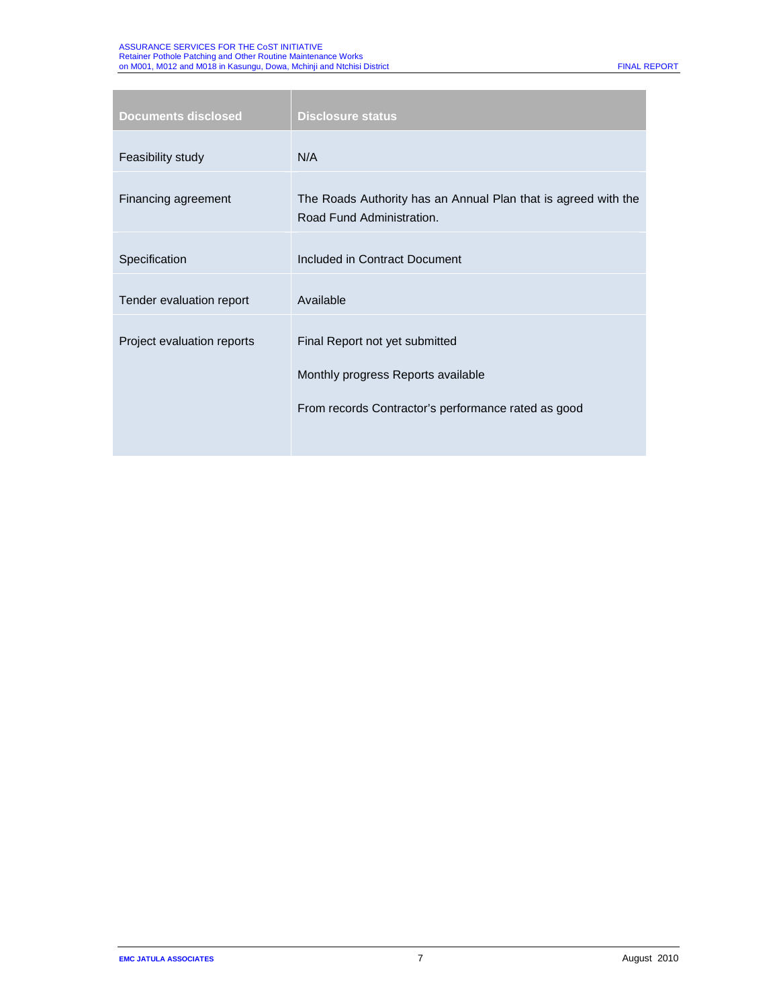# ASSURANCE SERVICES FOR THE CoST INITIATIVE<br>Retainer Pothole Patching and Other Routine Maintenance Works<br>on M001, M012 and M018 in Kasungu, Dowa, Mchinji and Ntchisi District Final Resource FINAL REPORT FINAL REPORT

| <b>Documents disclosed</b> | <b>Disclosure status</b>                                                                                                    |
|----------------------------|-----------------------------------------------------------------------------------------------------------------------------|
| Feasibility study          | N/A                                                                                                                         |
| Financing agreement        | The Roads Authority has an Annual Plan that is agreed with the<br>Road Fund Administration.                                 |
| Specification              | Included in Contract Document                                                                                               |
| Tender evaluation report   | Available                                                                                                                   |
| Project evaluation reports | Final Report not yet submitted<br>Monthly progress Reports available<br>From records Contractor's performance rated as good |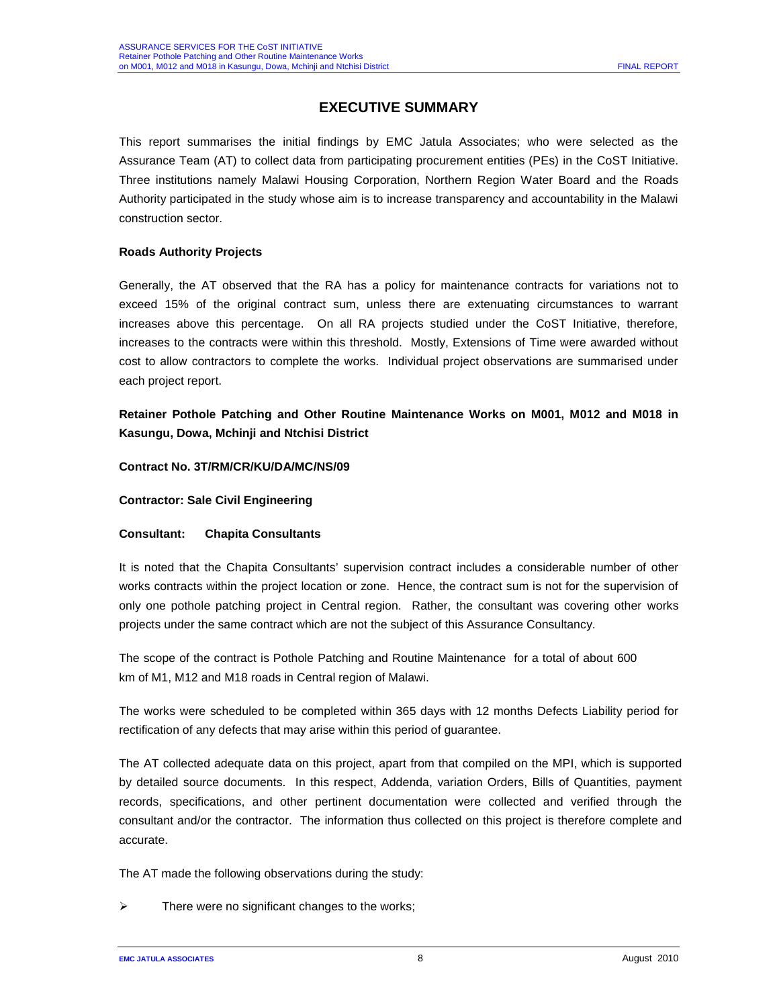# **EXECUTIVE SUMMARY**

This report summarises the initial findings by EMC Jatula Associates; who were selected as the Assurance Team (AT) to collect data from participating procurement entities (PEs) in the CoST Initiative. Three institutions namely Malawi Housing Corporation, Northern Region Water Board and the Roads Authority participated in the study whose aim is to increase transparency and accountability in the Malawi construction sector.

# **Roads Authority Projects**

Generally, the AT observed that the RA has a policy for maintenance contracts for variations not to exceed 15% of the original contract sum, unless there are extenuating circumstances to warrant increases above this percentage. On all RA projects studied under the CoST Initiative, therefore, increases to the contracts were within this threshold. Mostly, Extensions of Time were awarded without cost to allow contractors to complete the works. Individual project observations are summarised under each project report.

**Retainer Pothole Patching and Other Routine Maintenance Works on M001, M012 and M018 in Kasungu, Dowa, Mchinji and Ntchisi District**

# **Contract No. 3T/RM/CR/KU/DA/MC/NS/09**

**Contractor: Sale Civil Engineering**

# **Consultant: Chapita Consultants**

It is noted that the Chapita Consultants' supervision contract includes a considerable number of other works contracts within the project location or zone. Hence, the contract sum is not for the supervision of only one pothole patching project in Central region. Rather, the consultant was covering other works projects under the same contract which are not the subject of this Assurance Consultancy.

The scope of the contract is Pothole Patching and Routine Maintenance for a total of about 600 km of M1, M12 and M18 roads in Central region of Malawi.

The works were scheduled to be completed within 365 days with 12 months Defects Liability period for rectification of any defects that may arise within this period of guarantee.

The AT collected adequate data on this project, apart from that compiled on the MPI, which is supported by detailed source documents. In this respect, Addenda, variation Orders, Bills of Quantities, payment records, specifications, and other pertinent documentation were collected and verified through the consultant and/or the contractor. The information thus collected on this project is therefore complete and accurate.

The AT made the following observations during the study:

There were no significant changes to the works;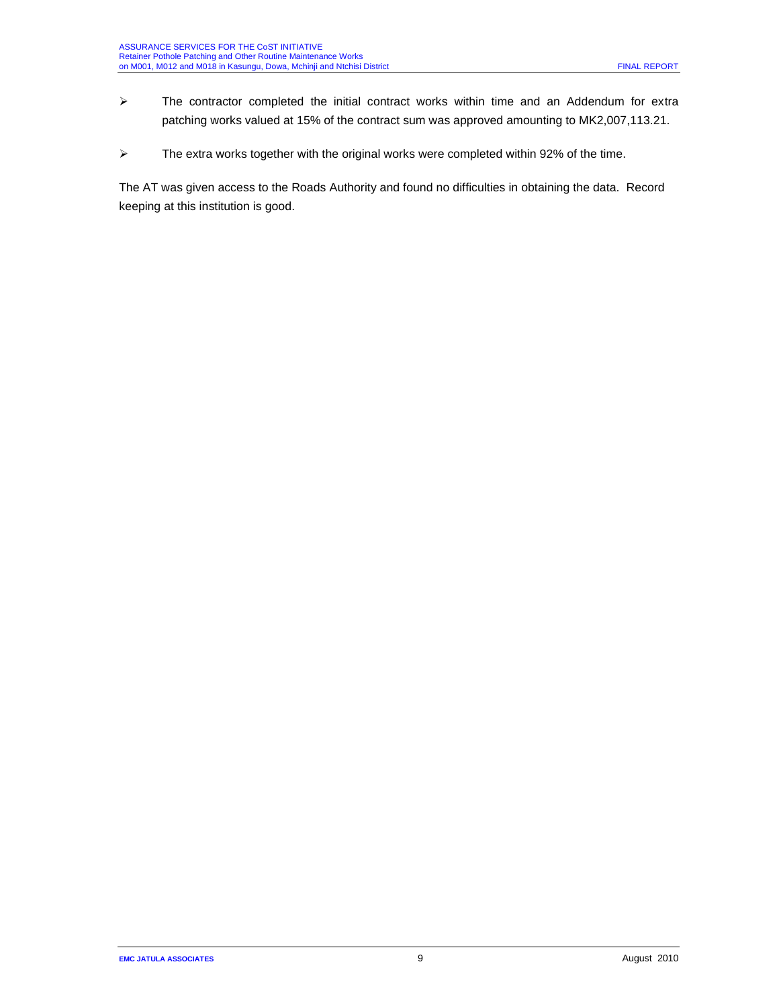- $\triangleright$  The contractor completed the initial contract works within time and an Addendum for extra patching works valued at 15% of the contract sum was approved amounting to MK2,007,113.21.
- $\triangleright$  The extra works together with the original works were completed within 92% of the time.

The AT was given access to the Roads Authority and found no difficulties in obtaining the data. Record keeping at this institution is good.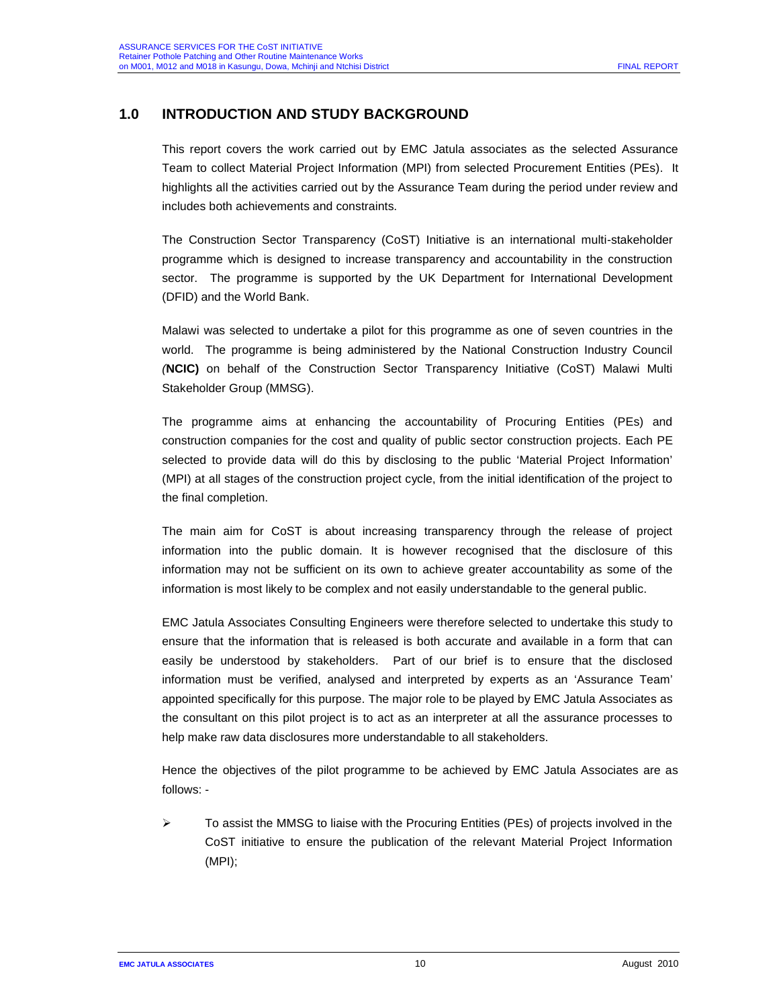# **1.0 INTRODUCTION AND STUDY BACKGROUND**

This report covers the work carried out by EMC Jatula associates as the selected Assurance Team to collect Material Project Information (MPI) from selected Procurement Entities (PEs). It highlights all the activities carried out by the Assurance Team during the period under review and includes both achievements and constraints.

The Construction Sector Transparency (CoST) Initiative is an international multi-stakeholder programme which is designed to increase transparency and accountability in the construction sector. The programme is supported by the UK Department for International Development (DFID) and the World Bank.

Malawi was selected to undertake a pilot for this programme as one of seven countries in the world. The programme is being administered by the National Construction Industry Council *(***NCIC)** on behalf of the Construction Sector Transparency Initiative (CoST) Malawi Multi Stakeholder Group (MMSG).

The programme aims at enhancing the accountability of Procuring Entities (PEs) and construction companies for the cost and quality of public sector construction projects. Each PE selected to provide data will do this by disclosing to the public 'Material Project Information' (MPI) at all stages of the construction project cycle, from the initial identification of the project to the final completion.

The main aim for CoST is about increasing transparency through the release of project information into the public domain. It is however recognised that the disclosure of this information may not be sufficient on its own to achieve greater accountability as some of the information is most likely to be complex and not easily understandable to the general public.

EMC Jatula Associates Consulting Engineers were therefore selected to undertake this study to ensure that the information that is released is both accurate and available in a form that can easily be understood by stakeholders. Part of our brief is to ensure that the disclosed information must be verified, analysed and interpreted by experts as an 'Assurance Team' appointed specifically for this purpose. The major role to be played by EMC Jatula Associates as the consultant on this pilot project is to act as an interpreter at all the assurance processes to help make raw data disclosures more understandable to all stakeholders.

Hence the objectives of the pilot programme to be achieved by EMC Jatula Associates are as follows: -

 $\triangleright$  To assist the MMSG to liaise with the Procuring Entities (PEs) of projects involved in the CoST initiative to ensure the publication of the relevant Material Project Information (MPI);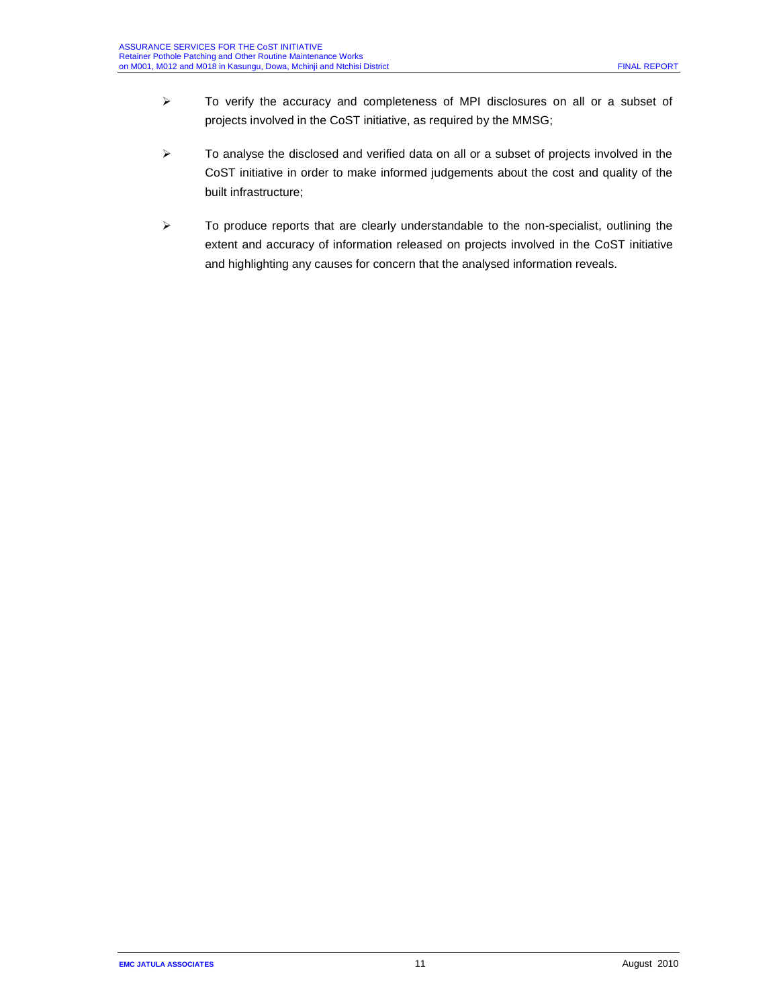- To verify the accuracy and completeness of MPI disclosures on all or a subset of projects involved in the CoST initiative, as required by the MMSG;
- $\triangleright$  To analyse the disclosed and verified data on all or a subset of projects involved in the CoST initiative in order to make informed judgements about the cost and quality of the built infrastructure;
- $\triangleright$  To produce reports that are clearly understandable to the non-specialist, outlining the extent and accuracy of information released on projects involved in the CoST initiative and highlighting any causes for concern that the analysed information reveals.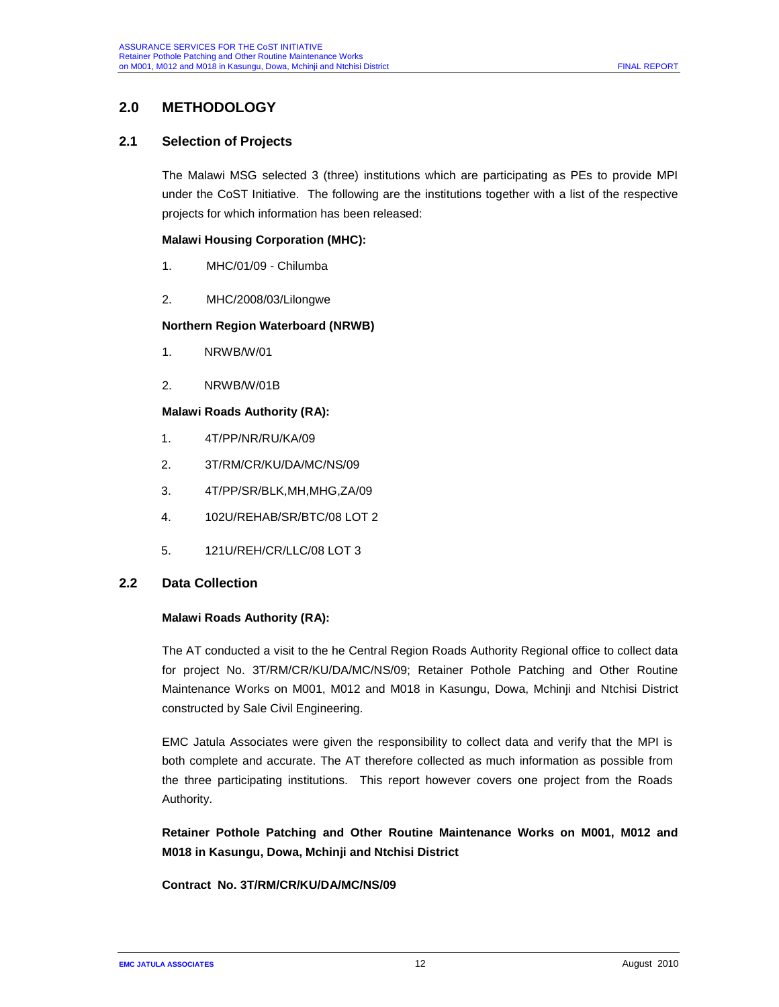# **2.0 METHODOLOGY**

# **2.1 Selection of Projects**

The Malawi MSG selected 3 (three) institutions which are participating as PEs to provide MPI under the CoST Initiative. The following are the institutions together with a list of the respective projects for which information has been released:

#### **Malawi Housing Corporation (MHC):**

- 1. MHC/01/09 Chilumba
- 2. MHC/2008/03/Lilongwe

#### **Northern Region Waterboard (NRWB)**

- 1. NRWB/W/01
- 2. NRWB/W/01B

## **Malawi Roads Authority (RA):**

- 1. 4T/PP/NR/RU/KA/09
- 2. 3T/RM/CR/KU/DA/MC/NS/09
- 3. 4T/PP/SR/BLK,MH,MHG,ZA/09
- 4. 102U/REHAB/SR/BTC/08 LOT 2
- 5. 121U/REH/CR/LLC/08 LOT 3

# **2.2 Data Collection**

#### **Malawi Roads Authority (RA):**

The AT conducted a visit to the he Central Region Roads Authority Regional office to collect data for project No. 3T/RM/CR/KU/DA/MC/NS/09; Retainer Pothole Patching and Other Routine Maintenance Works on M001, M012 and M018 in Kasungu, Dowa, Mchinji and Ntchisi District constructed by Sale Civil Engineering.

EMC Jatula Associates were given the responsibility to collect data and verify that the MPI is both complete and accurate. The AT therefore collected as much information as possible from the three participating institutions. This report however covers one project from the Roads Authority.

**Retainer Pothole Patching and Other Routine Maintenance Works on M001, M012 and M018 in Kasungu, Dowa, Mchinji and Ntchisi District**

#### **Contract No. 3T/RM/CR/KU/DA/MC/NS/09**

**EMC JATULA ASSOCIATES 12 CONSUMING ASSOCIATES 12 CONSUMING ACCOUNT AUGUST 2010**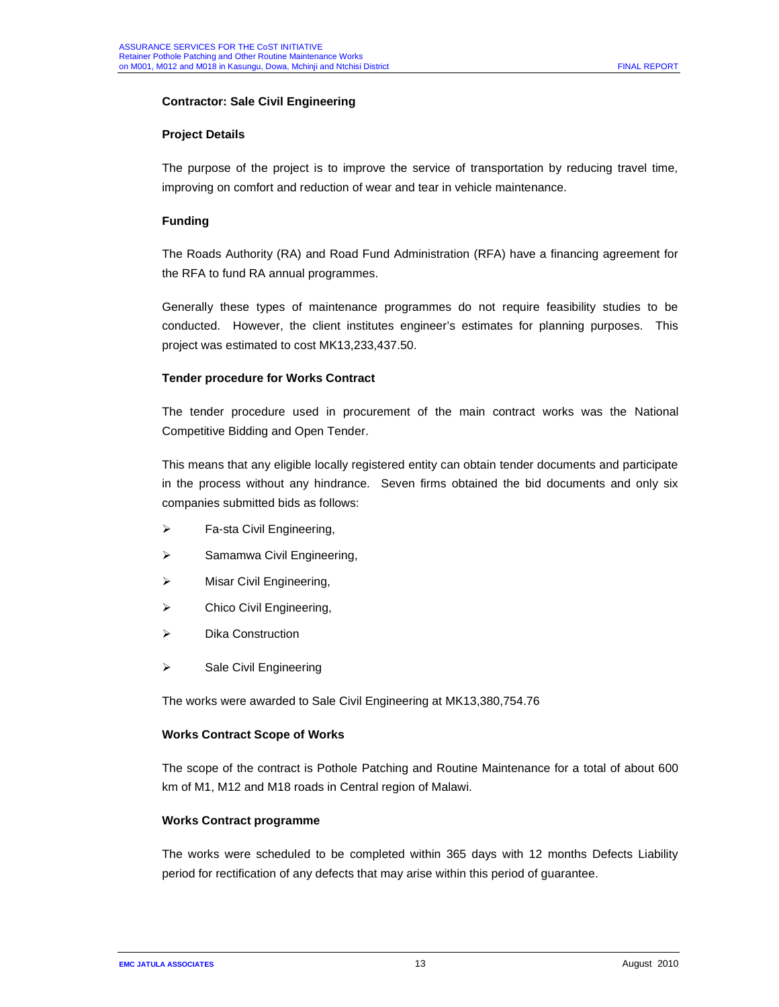# **Contractor: Sale Civil Engineering**

## **Project Details**

The purpose of the project is to improve the service of transportation by reducing travel time, improving on comfort and reduction of wear and tear in vehicle maintenance.

# **Funding**

The Roads Authority (RA) and Road Fund Administration (RFA) have a financing agreement for the RFA to fund RA annual programmes.

Generally these types of maintenance programmes do not require feasibility studies to be conducted. However, the client institutes engineer's estimates for planning purposes. This project was estimated to cost MK13,233,437.50.

#### **Tender procedure for Works Contract**

The tender procedure used in procurement of the main contract works was the National Competitive Bidding and Open Tender.

This means that any eligible locally registered entity can obtain tender documents and participate in the process without any hindrance. Seven firms obtained the bid documents and only six companies submitted bids as follows:

- $\triangleright$  Fa-sta Civil Engineering,
- > Samamwa Civil Engineering,
- > Misar Civil Engineering,
- $\triangleright$  Chico Civil Engineering,
- **▶ Dika Construction**
- $\triangleright$  Sale Civil Engineering

The works were awarded to Sale Civil Engineering at MK13,380,754.76

#### **Works Contract Scope of Works**

The scope of the contract is Pothole Patching and Routine Maintenance for a total of about 600 km of M1, M12 and M18 roads in Central region of Malawi.

# **Works Contract programme**

The works were scheduled to be completed within 365 days with 12 months Defects Liability period for rectification of any defects that may arise within this period of guarantee.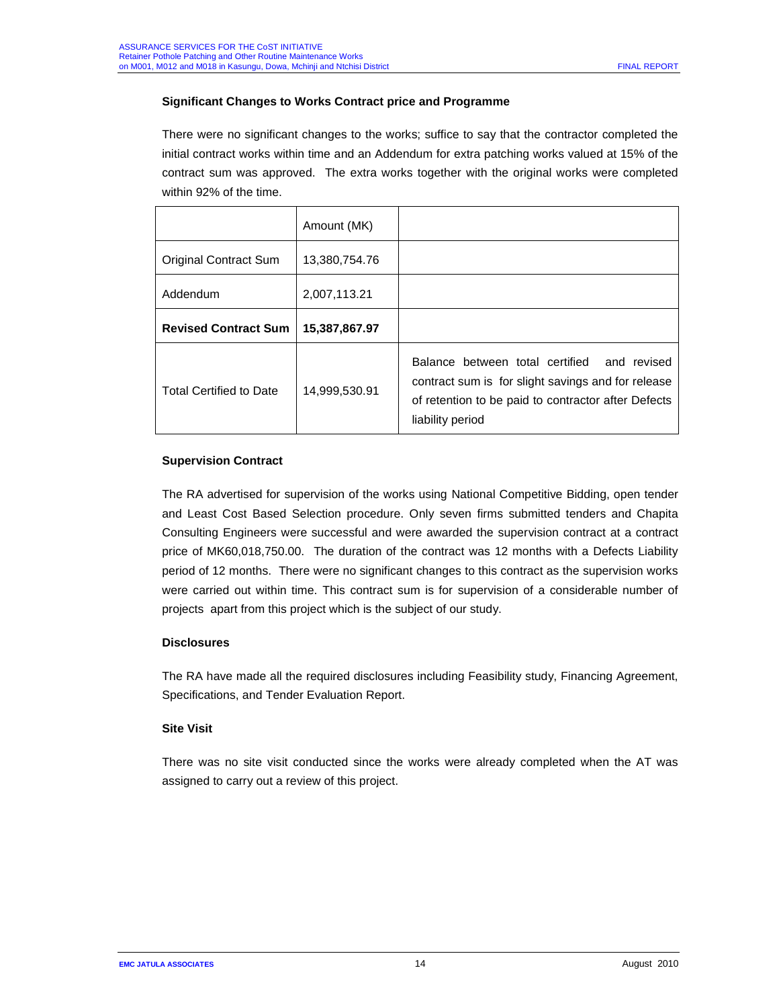# **Significant Changes to Works Contract price and Programme**

There were no significant changes to the works; suffice to say that the contractor completed the initial contract works within time and an Addendum for extra patching works valued at 15% of the contract sum was approved. The extra works together with the original works were completed within 92% of the time.

|                                | Amount (MK)   |                                                                                                                                                                                 |
|--------------------------------|---------------|---------------------------------------------------------------------------------------------------------------------------------------------------------------------------------|
| Original Contract Sum          | 13,380,754.76 |                                                                                                                                                                                 |
| Addendum                       | 2,007,113.21  |                                                                                                                                                                                 |
| <b>Revised Contract Sum</b>    | 15,387,867.97 |                                                                                                                                                                                 |
| <b>Total Certified to Date</b> | 14,999,530.91 | Balance between total certified<br>and revised<br>contract sum is for slight savings and for release<br>of retention to be paid to contractor after Defects<br>liability period |

# **Supervision Contract**

The RA advertised for supervision of the works using National Competitive Bidding, open tender and Least Cost Based Selection procedure. Only seven firms submitted tenders and Chapita Consulting Engineers were successful and were awarded the supervision contract at a contract price of MK60,018,750.00. The duration of the contract was 12 months with a Defects Liability period of 12 months. There were no significant changes to this contract as the supervision works were carried out within time. This contract sum is for supervision of a considerable number of projects apart from this project which is the subject of our study.

# **Disclosures**

The RA have made all the required disclosures including Feasibility study, Financing Agreement, Specifications, and Tender Evaluation Report.

# **Site Visit**

There was no site visit conducted since the works were already completed when the AT was assigned to carry out a review of this project.